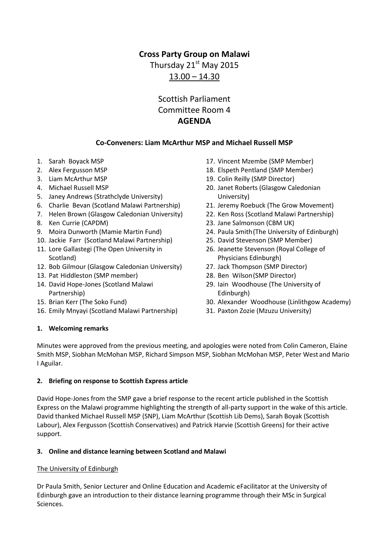## **Cross Party Group on Malawi**

Thursday 21<sup>st</sup> May 2015  $13.00 - 14.30$ 

# Scottish Parliament Committee Room 4 **AGENDA**

## **Co-Conveners: Liam McArthur MSP and Michael Russell MSP**

- 1. Sarah Boyack MSP
- 2. Alex Fergusson MSP
- 3. Liam McArthur MSP
- 4. Michael Russell MSP
- 5. Janey Andrews (Strathclyde University)
- 6. Charlie Bevan (Scotland Malawi Partnership)
- 7. Helen Brown (Glasgow Caledonian University)
- 8. Ken Currie (CAPDM)
- 9. Moira Dunworth (Mamie Martin Fund)
- 10. Jackie Farr (Scotland Malawi Partnership)
- 11. Lore Gallastegi (The Open University in Scotland)
- 12. Bob Gilmour (Glasgow Caledonian University)
- 13. Pat Hiddleston (SMP member)
- 14. David Hope-Jones (Scotland Malawi Partnership)
- 15. Brian Kerr (The Soko Fund)
- 16. Emily Mnyayi (Scotland Malawi Partnership)
- 17. Vincent Mzembe (SMP Member)
- 18. Elspeth Pentland (SMP Member)
- 19. Colin Reilly (SMP Director)
- 20. Janet Roberts (Glasgow Caledonian University)
- 21. Jeremy Roebuck (The Grow Movement)
- 22. Ken Ross (Scotland Malawi Partnership)
- 23. Jane Salmonson (CBM UK)
- 24. Paula Smith(The University of Edinburgh)
- 25. David Stevenson (SMP Member)
- 26. Jeanette Stevenson (Royal College of Physicians Edinburgh)
- 27. Jack Thompson (SMP Director)
- 28. Ben Wilson(SMP Director)
- 29. Iain Woodhouse (The University of Edinburgh)
- 30. Alexander Woodhouse (Linlithgow Academy)
- 31. Paxton Zozie (Mzuzu University)

## **1. Welcoming remarks**

Minutes were approved from the previous meeting, and apologies were noted from Colin Cameron, Elaine Smith MSP, Siobhan McMohan MSP, Richard Simpson MSP, Siobhan McMohan MSP, Peter West and Mario I Aguilar.

## **2. Briefing on response to Scottish Express article**

David Hope-Jones from the SMP gave a brief response to the recent article published in the Scottish Express on the Malawi programme highlighting the strength of all-party support in the wake of this article. David thanked Michael Russell MSP (SNP), Liam McArthur (Scottish Lib Dems), Sarah Boyak (Scottish Labour), Alex Fergusson (Scottish Conservatives) and Patrick Harvie (Scottish Greens) for their active support.

## **3. Online and distance learning between Scotland and Malawi**

## The University of Edinburgh

Dr Paula Smith, Senior Lecturer and Online Education and Academic eFacilitator at the University of Edinburgh gave an introduction to their distance learning programme through their MSc in Surgical Sciences.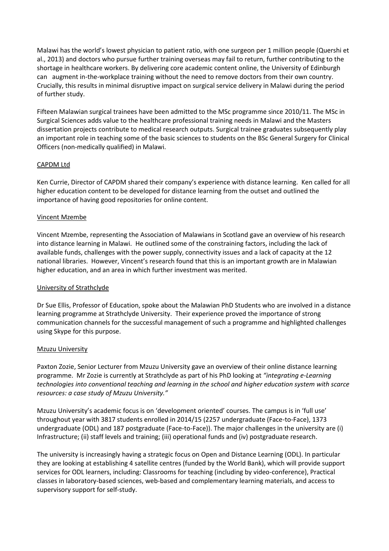Malawi has the world's lowest physician to patient ratio, with one surgeon per 1 million people (Quershi et al., 2013) and doctors who pursue further training overseas may fail to return, further contributing to the shortage in healthcare workers. By delivering core academic content online, the University of Edinburgh can augment in-the-workplace training without the need to remove doctors from their own country. Crucially, this results in minimal disruptive impact on surgical service delivery in Malawi during the period of further study.

Fifteen Malawian surgical trainees have been admitted to the MSc programme since 2010/11. The MSc in Surgical Sciences adds value to the healthcare professional training needs in Malawi and the Masters dissertation projects contribute to medical research outputs. Surgical trainee graduates subsequently play an important role in teaching some of the basic sciences to students on the BSc General Surgery for Clinical Officers (non-medically qualified) in Malawi.

## CAPDM Ltd

Ken Currie, Director of CAPDM shared their company's experience with distance learning. Ken called for all higher education content to be developed for distance learning from the outset and outlined the importance of having good repositories for online content.

#### Vincent Mzembe

Vincent Mzembe, representing the Association of Malawians in Scotland gave an overview of his research into distance learning in Malawi. He outlined some of the constraining factors, including the lack of available funds, challenges with the power supply, connectivity issues and a lack of capacity at the 12 national libraries. However, Vincent's research found that this is an important growth are in Malawian higher education, and an area in which further investment was merited.

#### University of Strathclyde

Dr Sue Ellis, Professor of Education, spoke about the Malawian PhD Students who are involved in a distance learning programme at Strathclyde University. Their experience proved the importance of strong communication channels for the successful management of such a programme and highlighted challenges using Skype for this purpose.

#### Mzuzu University

Paxton Zozie, Senior Lecturer from Mzuzu University gave an overview of their online distance learning programme. Mr Zozie is currently at Strathclyde as part of his PhD looking at *"integrating e-Learning technologies into conventional teaching and learning in the school and higher education system with scarce resources: a case study of Mzuzu University."*

Mzuzu University's academic focus is on 'development oriented' courses. The campus is in 'full use' throughout year with 3817 students enrolled in 2014/15 (2257 undergraduate (Face-to-Face), 1373 undergraduate (ODL) and 187 postgraduate (Face-to-Face)). The major challenges in the university are (i) Infrastructure; (ii) staff levels and training; (iii) operational funds and (iv) postgraduate research.

The university is increasingly having a strategic focus on Open and Distance Learning (ODL). In particular they are looking at establishing 4 satellite centres (funded by the World Bank), which will provide support services for ODL learners, including: Classrooms for teaching (including by video-conference), Practical classes in laboratory-based sciences, web-based and complementary learning materials, and access to supervisory support for self-study.